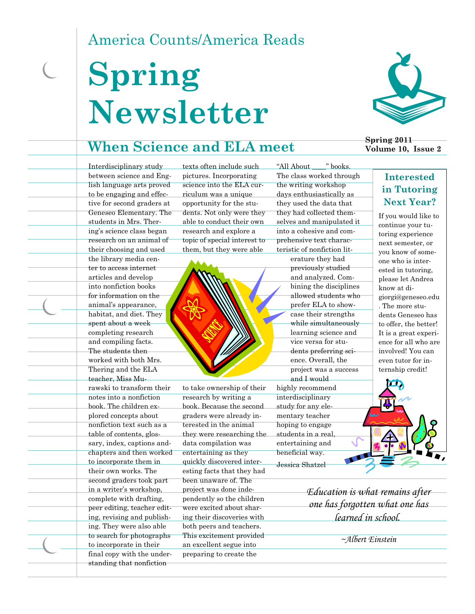# America Counts/America Reads

# **Spring Newsletter**

### **When Science and ELA meet**



**Spring 2011 Volume 10, Issue 2**

Interdisciplinary study between science and English language arts proved to be engaging and effective for second graders at Geneseo Elementary. The students in Mrs. Thering's science class began research on an animal of their choosing and used the library media center to access internet articles and develop into nonfiction books for information on the animal's appearance, habitat, and diet. They spent about a week completing research and compiling facts. The students then worked with both Mrs. Thering and the ELA teacher, Miss Murawski to transform their notes into a nonfiction book. The children explored concepts about nonfiction text such as a table of contents, glossary, index, captions andchapters and then worked to incorporate them in their own works. The second graders took part in a writer's workshop, complete with drafting, peer editing, teacher editing, revising and publishing. They were also able to search for photographs to incorporate in their final copy with the understanding that nonfiction

texts often include such pictures. Incorporating science into the ELA curriculum was a unique opportunity for the students. Not only were they able to conduct their own research and explore a topic of special interest to them, but they were able



to take ownership of their research by writing a book. Because the second graders were already interested in the animal they were researching the data compilation was entertaining as they quickly discovered interesting facts that they had been unaware of. The project was done independently so the children were excited about sharing their discoveries with both peers and teachers. This excitement provided an excellent segue into preparing to create the

"All About \_\_\_\_" books. The class worked through the writing workshop days enthusiastically as they used the data that they had collected themselves and manipulated it into a cohesive and comprehensive text characteristic of nonfiction lit-

erature they had previously studied and analyzed. Combining the disciplines allowed students who prefer ELA to showcase their strengths while simultaneously learning science and vice versa for students preferring science. Overall, the project was a success and I would highly recommend interdisciplinary study for any elementary teacher hoping to engage students in a real, entertaining and beneficial way. Jessica Shatzel

> *Education is what remains after one has forgotten what one has learned in school.*

> > *~Albert Einstein*

#### **Interested in Tutoring Next Year?**

If you would like to continue your tutoring experience next semester, or you know of someone who is interested in tutoring, please let Andrea know at digiorgi@geneseo.edu . The more students Geneseo has to offer, the better! It is a great experience for all who are involved! You can even tutor for internship credit!